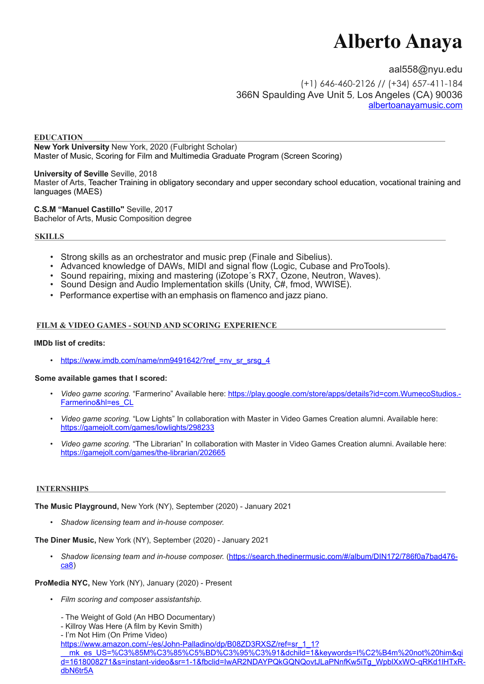# **Alberto Anaya**

[aal558@nyu.edu](mailto:aal558@nyu.edu) (+1) 646-460-2126 // (+34) 657-411-184 366N Spaulding Ave Unit 5, Los Angeles (CA) 90036 [albertoanayamusic.com](http://albertoanayamusic.com)

#### **EDUCATION New York University** New York, 2020 (Fulbright Scholar) Master of Music, Scoring for Film and Multimedia Graduate Program (Screen Scoring)

**University of Seville** Seville, 2018 Master of Arts, Teacher Training in obligatory secondary and upper secondary school education, vocational training and languages (MAES)

**C.S.M "Manuel Castillo"** Seville, 2017 Bachelor of Arts, Music Composition degree

## **SKILLS**

- Strong skills as an orchestrator and music prep (Finale and Sibelius).
- Advanced knowledge of DAWs, MIDI and signal flow (Logic, Cubase and ProTools).
- Sound repairing, mixing and mastering (iZotope's RX7, Ozone, Neutron, Waves).<br>• Sound Design and Audio Implementation skills (Unity, C#, fmod, WWISE).
- 
- Performance expertise with an emphasis on flamenco and jazz piano.

## **FILM & VIDEO GAMES - SOUND AND SCORING EXPERIENCE**

## **IMDb list of credits:**

• [https://www.imdb.com/name/nm9491642/?ref\\_=nv\\_sr\\_srsg\\_4](https://www.imdb.com/name/nm9491642/?ref_=nv_sr_srsg_4)

## **Some available games that I scored:**

- *Video game scoring.* "Farmerino" Available here: [https://play.google.com/store/apps/details?id=com.WumecoStudios.](https://play.google.com/store/apps/details?id=com.WumecoStudios.Farmerino&hl=es_CL) [Farmerino&hl=es\\_CL](https://play.google.com/store/apps/details?id=com.WumecoStudios.Farmerino&hl=es_CL)
- *Video game scoring.* "Low Lights" In collaboration with Master in Video Games Creation alumni. Available here: <https://gamejolt.com/games/lowlights/298233>
- *Video game scoring.* "The Librarian" In collaboration with Master in Video Games Creation alumni. Available here: <https://gamejolt.com/games/the-librarian/202665>

## **INTERNSHIPS**

**The Music Playground,** New York (NY), September (2020) - January 2021

• *Shadow licensing team and in-house composer.*

**The Diner Music,** New York (NY), September (2020) - January 2021

• *Shadow licensing team and in-house composer.* ([https://search.thedinermusic.com/#/album/DIN172/786f0a7bad476](https://search.thedinermusic.com/#/album/DIN172/786f0a7bad476ca8) [ca8](https://search.thedinermusic.com/#/album/DIN172/786f0a7bad476ca8))

## **ProMedia NYC,** New York (NY), January (2020) - Present

- *Film scoring and composer assistantship.* 
	- The Weight of Gold (An HBO Documentary)
	- Killroy Was Here (A film by Kevin Smith)
	- I'm Not Him (On Prime Video)
	- [https://www.amazon.com/-/es/John-Palladino/dp/B08ZD3RXSZ/ref=sr\\_1\\_1?](https://www.amazon.com/-/es/John-Palladino/dp/B08ZD3RXSZ/ref=sr_1_1?__mk_es_US=%C3%85M%C3%85%C5%BD%C3%95%C3%91&dchild=1&keywords=I%C2%B4m%20not%20him&qid=1618008271&s=instant-video&sr=1-1&fbclid=IwAR2NDAYPQkGQNQovtJLaPNnfKw5iTg_WpblXxWO-qRKd1lHTxR-dbN6tr5A)

[\\_\\_mk\\_es\\_US=%C3%85M%C3%85%C5%BD%C3%95%C3%91&dchild=1&keywords=I%C2%B4m%20not%20him&qi](https://www.amazon.com/-/es/John-Palladino/dp/B08ZD3RXSZ/ref=sr_1_1?__mk_es_US=%C3%85M%C3%85%C5%BD%C3%95%C3%91&dchild=1&keywords=I%C2%B4m%20not%20him&qid=1618008271&s=instant-video&sr=1-1&fbclid=IwAR2NDAYPQkGQNQovtJLaPNnfKw5iTg_WpblXxWO-qRKd1lHTxR-dbN6tr5A) [d=1618008271&s=instant-video&sr=1-1&fbclid=IwAR2NDAYPQkGQNQovtJLaPNnfKw5iTg\\_WpblXxWO-qRKd1lHTxR](https://www.amazon.com/-/es/John-Palladino/dp/B08ZD3RXSZ/ref=sr_1_1?__mk_es_US=%C3%85M%C3%85%C5%BD%C3%95%C3%91&dchild=1&keywords=I%C2%B4m%20not%20him&qid=1618008271&s=instant-video&sr=1-1&fbclid=IwAR2NDAYPQkGQNQovtJLaPNnfKw5iTg_WpblXxWO-qRKd1lHTxR-dbN6tr5A)[dbN6tr5A](https://www.amazon.com/-/es/John-Palladino/dp/B08ZD3RXSZ/ref=sr_1_1?__mk_es_US=%C3%85M%C3%85%C5%BD%C3%95%C3%91&dchild=1&keywords=I%C2%B4m%20not%20him&qid=1618008271&s=instant-video&sr=1-1&fbclid=IwAR2NDAYPQkGQNQovtJLaPNnfKw5iTg_WpblXxWO-qRKd1lHTxR-dbN6tr5A)